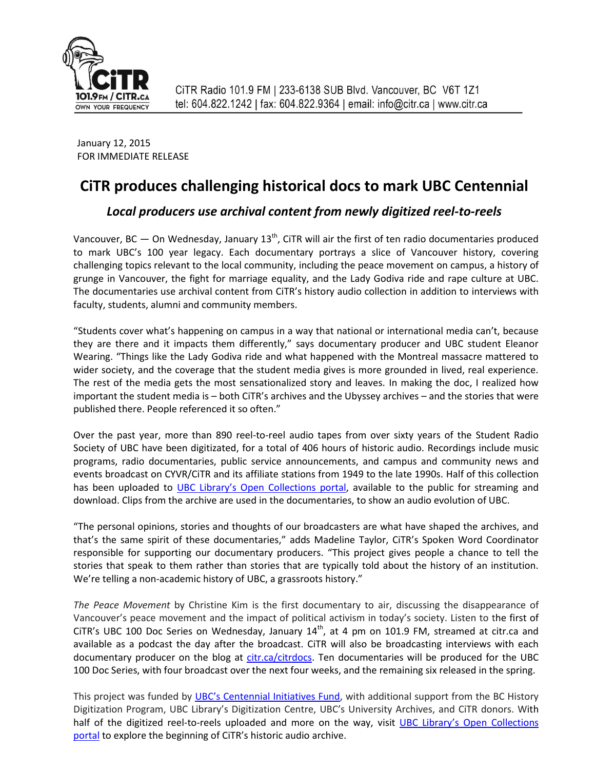

 January 12, 2015 FOR IMMEDIATE RELEASE

# **CiTR produces challenging historical docs to mark UBC Centennial**

## *Local producers use archival content from newly digitized reel-to-reels*

Vancouver, BC  $-$  On Wednesday, January 13<sup>th</sup>, CiTR will air the first of ten radio documentaries produced to mark UBC's 100 year legacy. Each documentary portrays a slice of Vancouver history, covering challenging topics relevant to the local community, including the peace movement on campus, a history of grunge in Vancouver, the fight for marriage equality, and the Lady Godiva ride and rape culture at UBC. The documentaries use archival content from CiTR's history audio collection in addition to interviews with faculty, students, alumni and community members.

"Students cover what's happening on campus in a way that national or international media can't, because they are there and it impacts them differently," says documentary producer and UBC student Eleanor Wearing. "Things like the Lady Godiva ride and what happened with the Montreal massacre mattered to wider society, and the coverage that the student media gives is more grounded in lived, real experience. The rest of the media gets the most sensationalized story and leaves. In making the doc, I realized how important the student media is – both CiTR's archives and the Ubyssey archives – and the stories that were published there. People referenced it so often."

Over the past year, more than 890 reel-to-reel audio tapes from over sixty years of the Student Radio Society of UBC have been digitizated, for a total of 406 hours of historic audio. Recordings include music programs, radio documentaries, public service announcements, and campus and community news and events broadcast on CYVR/CiTR and its affiliate stations from 1949 to the late 1990s. Half of this collection has been uploaded to UBC Library's [Open Collections](https://open.library.ubc.ca/collections/citraudio) portal, available to the public for streaming and download. Clips from the archive are used in the documentaries, to show an audio evolution of UBC.

"The personal opinions, stories and thoughts of our broadcasters are what have shaped the archives, and that's the same spirit of these documentaries," adds Madeline Taylor, CiTR's Spoken Word Coordinator responsible for supporting our documentary producers. "This project gives people a chance to tell the stories that speak to them rather than stories that are typically told about the history of an institution. We're telling a non-academic history of UBC, a grassroots history."

*The Peace Movement* by Christine Kim is the first documentary to air, discussing the disappearance of Vancouver's peace movement and the impact of political activism in today's society. Listen to the first of CiTR's UBC 100 Doc Series on Wednesday, January 14<sup>th</sup>, at 4 pm on 101.9 FM, streamed at citr.ca and available as a podcast the day after the broadcast. CiTR will also be broadcasting interviews with each documentary producer on the blog at [citr.ca/citrdocs.](http://www.citr.ca/citrdocs) Ten documentaries will be produced for the UBC 100 Doc Series, with four broadcast over the next four weeks, and the remaining six released in the spring.

This project was funded by [UBC's Centennial Initiatives Fund](http://100.ubc.ca/), with additional support from the BC History Digitization Program, UBC Library's Digitization Centre, UBC's University Archives, and CiTR donors. With half of the digitized reel-to-reels uploaded and more on the way, visit UBC Library's [Open Collections](https://open.library.ubc.ca/collections/citraudio) portal to explore the beginning of CiTR's historic audio archive.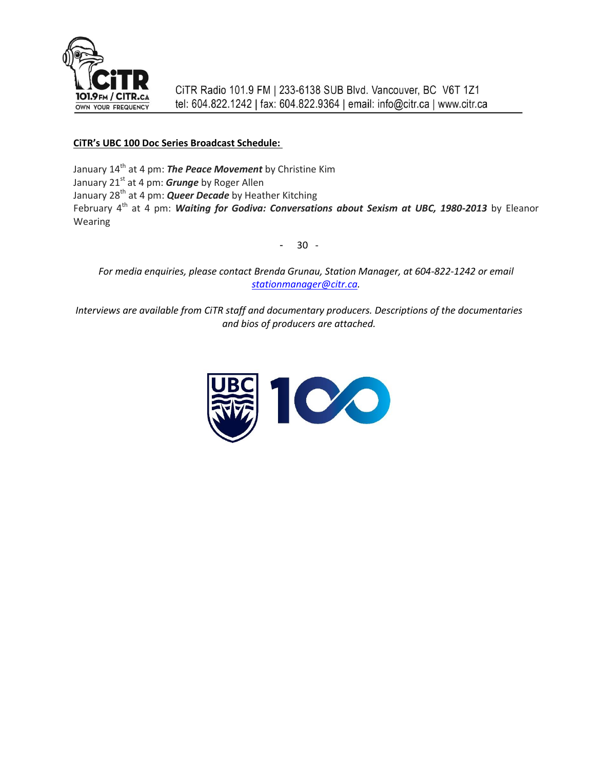

### **CiTR's UBC 100 Doc Series Broadcast Schedule:**

January 14<sup>th</sup> at 4 pm: **The Peace Movement** by Christine Kim January 21<sup>st</sup> at 4 pm: *Grunge* by Roger Allen January 28th at 4 pm: *Queer Decade* by Heather Kitching February 4<sup>th</sup> at 4 pm: *Waiting for Godiva: Conversations about Sexism at UBC, 1980-2013* by Eleanor Wearing

- 30 -

*For media enquiries, please contact Brenda Grunau, Station Manager, at 604-822-1242 or email [stationmanager@citr.ca.](mailto:stationmanager@citr.ca)*

*Interviews are available from CiTR staff and documentary producers. Descriptions of the documentaries and bios of producers are attached.*

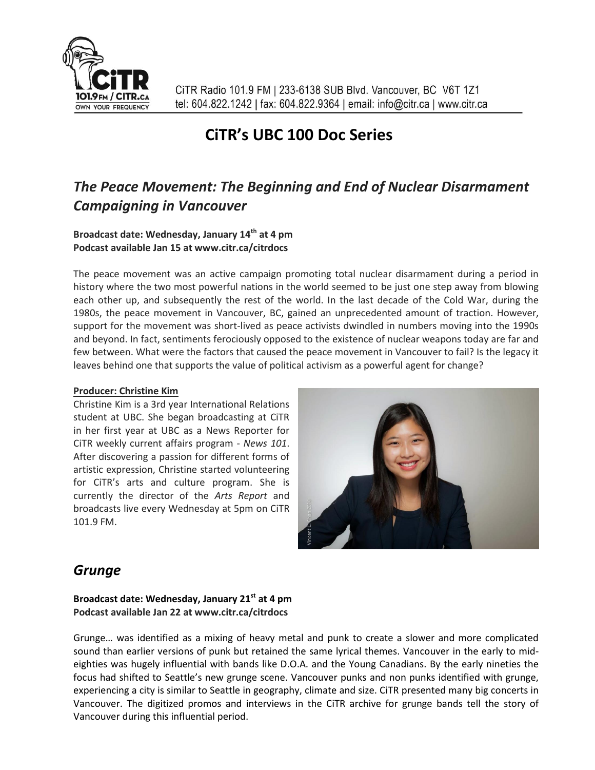

# **CiTR's UBC 100 Doc Series**

# *The Peace Movement: The Beginning and End of Nuclear Disarmament Campaigning in Vancouver*

### **Broadcast date: Wednesday, January 14th at 4 pm Podcast available Jan 15 at www.citr.ca/citrdocs**

The peace movement was an active campaign promoting total nuclear disarmament during a period in history where the two most powerful nations in the world seemed to be just one step away from blowing each other up, and subsequently the rest of the world. In the last decade of the Cold War, during the 1980s, the peace movement in Vancouver, BC, gained an unprecedented amount of traction. However, support for the movement was short-lived as peace activists dwindled in numbers moving into the 1990s and beyond. In fact, sentiments ferociously opposed to the existence of nuclear weapons today are far and few between. What were the factors that caused the peace movement in Vancouver to fail? Is the legacy it leaves behind one that supports the value of political activism as a powerful agent for change?

#### **Producer: Christine Kim**

Christine Kim is a 3rd year International Relations student at UBC. She began broadcasting at CiTR in her first year at UBC as a News Reporter for CiTR weekly current affairs program - *News 101*. After discovering a passion for different forms of artistic expression, Christine started volunteering for CiTR's arts and culture program. She is currently the director of the *Arts Report* and broadcasts live every Wednesday at 5pm on CiTR 101.9 FM.



# *Grunge*

**Broadcast date: Wednesday, January 21st at 4 pm Podcast available Jan 22 at www.citr.ca/citrdocs**

Grunge… was identified as a mixing of heavy metal and punk to create a slower and more complicated sound than earlier versions of punk but retained the same lyrical themes. Vancouver in the early to mideighties was hugely influential with bands like D.O.A. and the Young Canadians. By the early nineties the focus had shifted to Seattle's new grunge scene. Vancouver punks and non punks identified with grunge, experiencing a city is similar to Seattle in geography, climate and size. CiTR presented many big concerts in Vancouver. The digitized promos and interviews in the CiTR archive for grunge bands tell the story of Vancouver during this influential period.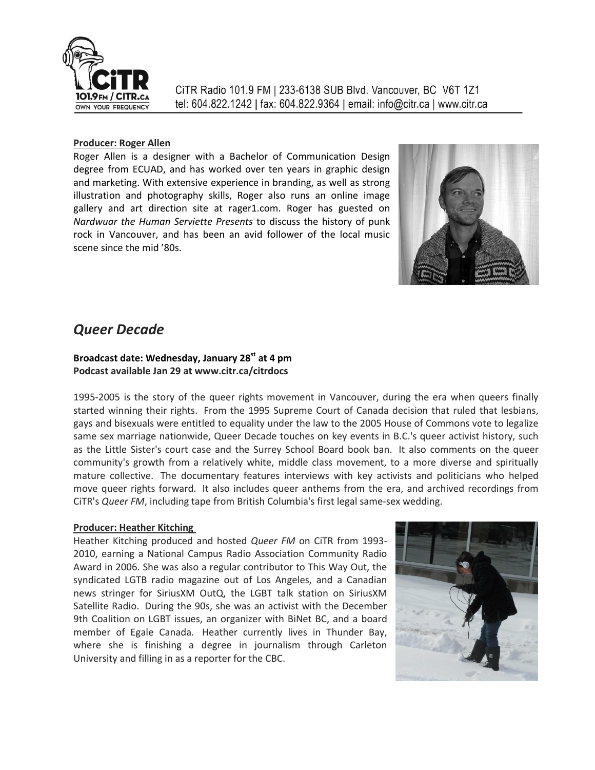

#### **Producer: Roger Allen**

Roger Allen is a designer with a Bachelor of Communication Design degree from ECUAD, and has worked over ten years in graphic design and marketing. With extensive experience in branding, as well as strong illustration and photography skills, Roger also runs an online image gallery and art direction site at rager1.com. Roger has guested on *Nardwuar the Human Serviette Presents* to discuss the history of punk rock in Vancouver, and has been an avid follower of the local music scene since the mid '80s.



## *Queer Decade*

## **Broadcast date: Wednesday, January 28st at 4 pm Podcast available Jan 29 at www.citr.ca/citrdocs**

1995-2005 is the story of the queer rights movement in Vancouver, during the era when queers finally started winning their rights. From the 1995 Supreme Court of Canada decision that ruled that lesbians, gays and bisexuals were entitled to equality under the law to the 2005 House of Commons vote to legalize same sex marriage nationwide, Queer Decade touches on key events in B.C.'s queer activist history, such as the Little Sister's court case and the Surrey School Board book ban. It also comments on the queer community's growth from a relatively white, middle class movement, to a more diverse and spiritually mature collective. The documentary features interviews with key activists and politicians who helped move queer rights forward. It also includes queer anthems from the era, and archived recordings from CiTR's *Queer FM*, including tape from British Columbia's first legal same-sex wedding.

#### **Producer: Heather Kitching**

Heather Kitching produced and hosted *Queer FM* on CiTR from 1993- 2010, earning a National Campus Radio Association Community Radio Award in 2006. She was also a regular contributor to This Way Out, the syndicated LGTB radio magazine out of Los Angeles, and a Canadian news stringer for SiriusXM OutQ, the LGBT talk station on SiriusXM Satellite Radio. During the 90s, she was an activist with the December 9th Coalition on LGBT issues, an organizer with BiNet BC, and a board member of Egale Canada. Heather currently lives in Thunder Bay, where she is finishing a degree in journalism through Carleton University and filling in as a reporter for the CBC.